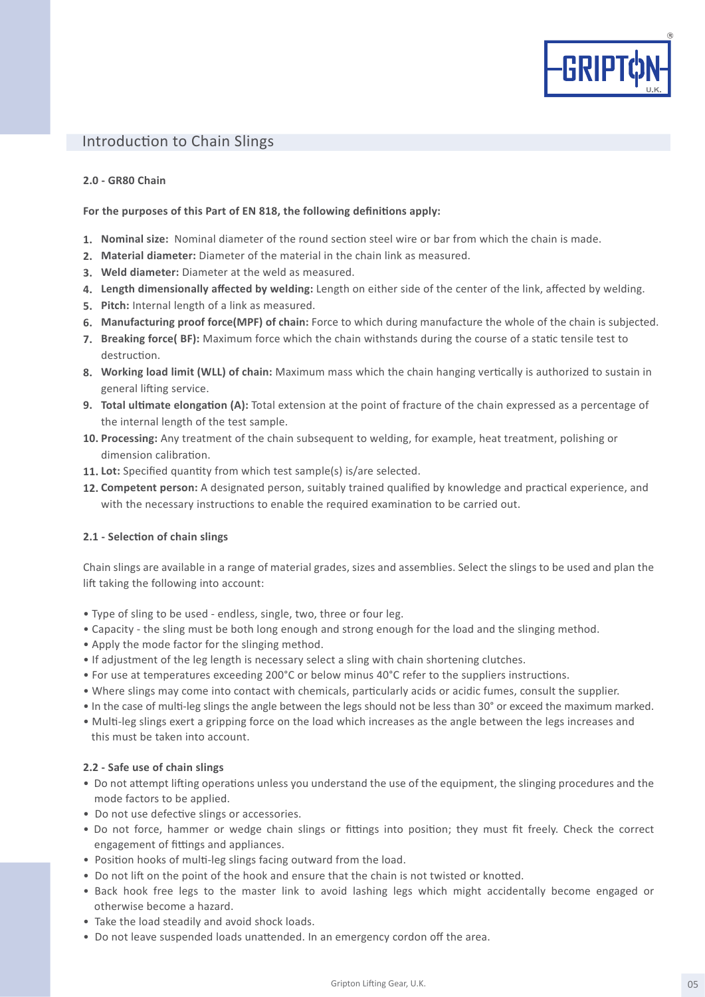

# Introduction to Chain Slings

### **2.0 - GR80 Chain**

### **For the purposes of this Part of EN 818, the following definitions apply:**

- **Nominal size:** Nominal diameter of the round section steel wire or bar from which the chain is made. **1.**
- **Material diameter:** Diameter of the material in the chain link as measured. **2.**
- **Weld diameter:** Diameter at the weld as measured. **3.**
- **Length dimensionally affected by welding:** Length on either side of the center of the link, affected by welding. **4.**
- **Pitch:** Internal length of a link as measured. **5.**
- **Manufacturing proof force(MPF) of chain:** Force to which during manufacture the whole of the chain is subjected. **6.**
- **Breaking force( BF):** Maximum force which the chain withstands during the course of a static tensile test to **7.** destruction.
- **Working load limit (WLL) of chain:** Maximum mass which the chain hanging vertically is authorized to sustain in **8.** general lifting service.
- **Total ultimate elongation (A):** Total extension at the point of fracture of the chain expressed as a percentage of **9.** the internal length of the test sample.
- **Processing:** Any treatment of the chain subsequent to welding, for example, heat treatment, polishing or **10.** dimension calibration.
- **Lot:** Specified quantity from which test sample(s) is/are selected. **11.**
- **Competent person:** A designated person, suitably trained qualified by knowledge and practical experience, and **12.** with the necessary instructions to enable the required examination to be carried out.

# **2.1 - Selection of chain slings**

Chain slings are available in a range of material grades, sizes and assemblies. Select the slings to be used and plan the lift taking the following into account:

- Type of sling to be used endless, single, two, three or four leg.
- Capacity the sling must be both long enough and strong enough for the load and the slinging method.
- Apply the mode factor for the slinging method.
- If adjustment of the leg length is necessary select a sling with chain shortening clutches.
- For use at temperatures exceeding 200°C or below minus 40°C refer to the suppliers instructions.
- Where slings may come into contact with chemicals, particularly acids or acidic fumes, consult the supplier.
- In the case of multi-leg slings the angle between the legs should not be less than 30° or exceed the maximum marked.
- Multi-leg slings exert a gripping force on the load which increases as the angle between the legs increases and this must be taken into account.

### **2.2 - Safe use of chain slings**

- Do not attempt lifting operations unless you understand the use of the equipment, the slinging procedures and the mode factors to be applied.
- Do not use defective slings or accessories.
- Do not force, hammer or wedge chain slings or fittings into position; they must fit freely. Check the correct engagement of fittings and appliances.
- Position hooks of multi-leg slings facing outward from the load.
- Do not lift on the point of the hook and ensure that the chain is not twisted or knotted.
- Back hook free legs to the master link to avoid lashing legs which might accidentally become engaged or otherwise become a hazard.
- Take the load steadily and avoid shock loads.
- Do not leave suspended loads unattended. In an emergency cordon off the area.